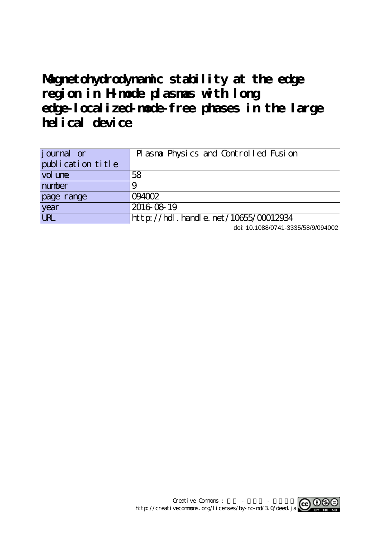# **Magnetohydrodynamic stability at the edge region in H-mode plasmas with long edge-localized-mode-free phases in the large helical device**

| journal or                 | Plasma Physics and Controlled Fusion |
|----------------------------|--------------------------------------|
| publication title          |                                      |
| $\vert$ vol un $\mathbf e$ | 58                                   |
| number                     |                                      |
| page range                 | 094002                               |
| year                       | 2016-08-19                           |
| <b>LRL</b>                 | http://hdl.handle.net/10655/00012934 |

doi: 10.1088/0741-3335/58/9/094002

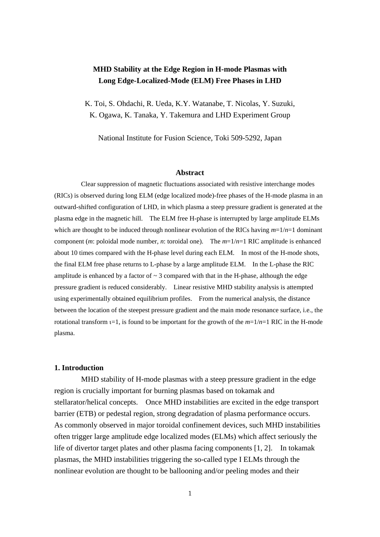# **MHD Stability at the Edge Region in H-mode Plasmas with Long Edge-Localized-Mode (ELM) Free Phases in LHD**

K. Toi, S. Ohdachi, R. Ueda, K.Y. Watanabe, T. Nicolas, Y. Suzuki, K. Ogawa, K. Tanaka, Y. Takemura and LHD Experiment Group

National Institute for Fusion Science, Toki 509-5292, Japan

#### **Abstract**

Clear suppression of magnetic fluctuations associated with resistive interchange modes (RICs) is observed during long ELM (edge localized mode)-free phases of the H-mode plasma in an outward-shifted configuration of LHD, in which plasma a steep pressure gradient is generated at the plasma edge in the magnetic hill. The ELM free H-phase is interrupted by large amplitude ELMs which are thought to be induced through nonlinear evolution of the RICs having  $m=1/n=1$  dominant component (*m*: poloidal mode number, *n*: toroidal one). The *m*=1/*n*=1 RIC amplitude is enhanced about 10 times compared with the H-phase level during each ELM. In most of the H-mode shots, the final ELM free phase returns to L-phase by a large amplitude ELM. In the L-phase the RIC amplitude is enhanced by a factor of  $\sim$  3 compared with that in the H-phase, although the edge pressure gradient is reduced considerably. Linear resistive MHD stability analysis is attempted using experimentally obtained equilibrium profiles. From the numerical analysis, the distance between the location of the steepest pressure gradient and the main mode resonance surface, i.e., the rotational transform  $t=1$ , is found to be important for the growth of the  $m=1/n=1$  RIC in the H-mode plasma.

#### **1. Introduction**

MHD stability of H-mode plasmas with a steep pressure gradient in the edge region is crucially important for burning plasmas based on tokamak and stellarator/helical concepts. Once MHD instabilities are excited in the edge transport barrier (ETB) or pedestal region, strong degradation of plasma performance occurs. As commonly observed in major toroidal confinement devices, such MHD instabilities often trigger large amplitude edge localized modes (ELMs) which affect seriously the life of divertor target plates and other plasma facing components [1, 2]. In tokamak plasmas, the MHD instabilities triggering the so-called type I ELMs through the nonlinear evolution are thought to be ballooning and/or peeling modes and their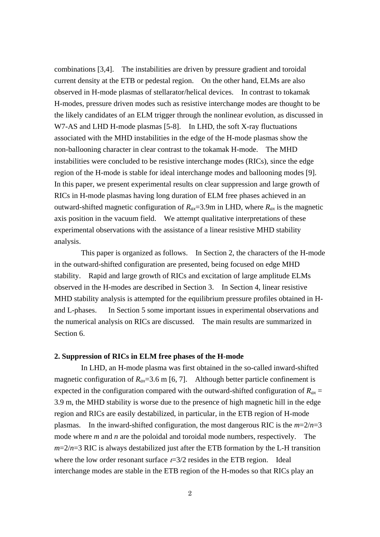combinations [3,4]. The instabilities are driven by pressure gradient and toroidal current density at the ETB or pedestal region. On the other hand, ELMs are also observed in H-mode plasmas of stellarator/helical devices. In contrast to tokamak H-modes, pressure driven modes such as resistive interchange modes are thought to be the likely candidates of an ELM trigger through the nonlinear evolution, as discussed in W7-AS and LHD H-mode plasmas [5-8]. In LHD, the soft X-ray fluctuations associated with the MHD instabilities in the edge of the H-mode plasmas show the non-ballooning character in clear contrast to the tokamak H-mode. The MHD instabilities were concluded to be resistive interchange modes (RICs), since the edge region of the H-mode is stable for ideal interchange modes and ballooning modes [9]. In this paper, we present experimental results on clear suppression and large growth of RICs in H-mode plasmas having long duration of ELM free phases achieved in an outward-shifted magnetic configuration of  $R_{ax}$ =3.9m in LHD, where  $R_{ax}$  is the magnetic axis position in the vacuum field. We attempt qualitative interpretations of these experimental observations with the assistance of a linear resistive MHD stability analysis.

This paper is organized as follows. In Section 2, the characters of the H-mode in the outward-shifted configuration are presented, being focused on edge MHD stability. Rapid and large growth of RICs and excitation of large amplitude ELMs observed in the H-modes are described in Section 3. In Section 4, linear resistive MHD stability analysis is attempted for the equilibrium pressure profiles obtained in Hand L-phases. In Section 5 some important issues in experimental observations and the numerical analysis on RICs are discussed. The main results are summarized in Section 6.

#### **2. Suppression of RICs in ELM free phases of the H-mode**

In LHD, an H-mode plasma was first obtained in the so-called inward-shifted magnetic configuration of  $R_{ax}$ =3.6 m [6, 7]. Although better particle confinement is expected in the configuration compared with the outward-shifted configuration of  $R_{ax}$  = 3.9 m, the MHD stability is worse due to the presence of high magnetic hill in the edge region and RICs are easily destabilized, in particular, in the ETB region of H-mode plasmas. In the inward-shifted configuration, the most dangerous RIC is the  $m=2/n=3$ mode where *m* and *n* are the poloidal and toroidal mode numbers, respectively. The  $m=2/n=3$  RIC is always destabilized just after the ETB formation by the L-H transition where the low order resonant surface  $t=3/2$  resides in the ETB region. Ideal interchange modes are stable in the ETB region of the H-modes so that RICs play an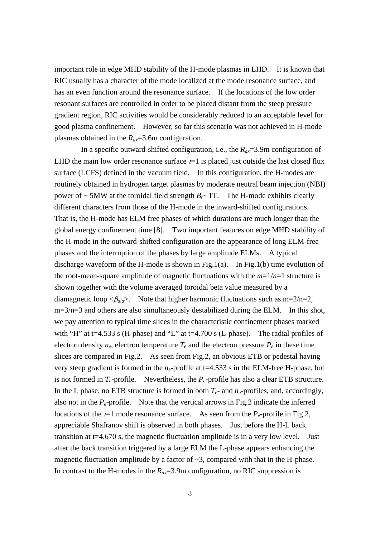important role in edge MHD stability of the H-mode plasmas in LHD. It is known that RIC usually has a character of the mode localized at the mode resonance surface, and has an even function around the resonance surface. If the locations of the low order resonant surfaces are controlled in order to be placed distant from the steep pressure gradient region, RIC activities would be considerably reduced to an acceptable level for good plasma confinement. However, so far this scenario was not achieved in H-mode plasmas obtained in the  $R_{ax} = 3.6$ m configuration.

In a specific outward-shifted configuration, i.e., the  $R_{ax} = 3.9$ m configuration of LHD the main low order resonance surface  $t=1$  is placed just outside the last closed flux surface (LCFS) defined in the vacuum field. In this configuration, the H-modes are routinely obtained in hydrogen target plasmas by moderate neutral beam injection (NBI) power of  $\sim$  5MW at the toroidal field strength  $B_t \sim 1$ . The H-mode exhibits clearly different characters from those of the H-mode in the inward-shifted configurations. That is, the H-mode has ELM free phases of which durations are much longer than the global energy confinement time [8]. Two important features on edge MHD stability of the H-mode in the outward-shifted configuration are the appearance of long ELM-free phases and the interruption of the phases by large amplitude ELMs. A typical discharge waveform of the H-mode is shown in Fig.1(a). In Fig.1(b) time evolution of the root-mean-square amplitude of magnetic fluctuations with the *m*=1/*n*=1 structure is shown together with the volume averaged toroidal beta value measured by a diamagnetic loop  $\langle \beta_{dia} \rangle$ . Note that higher harmonic fluctuations such as m=2/n=2, m=3/n=3 and others are also simultaneously destabilized during the ELM. In this shot, we pay attention to typical time slices in the characteristic confinement phases marked with "H" at t=4.533 s (H-phase) and "L" at t=4.700 s (L-phase). The radial profiles of electron density  $n_e$ , electron temperature  $T_e$  and the electron pressure  $P_e$  in these time slices are compared in Fig.2. As seen from Fig.2, an obvious ETB or pedestal having very steep gradient is formed in the  $n_e$ -profile at t=4.533 s in the ELM-free H-phase, but is not formed in  $T_e$ -profile. Nevertheless, the  $P_e$ -profile has also a clear ETB structure. In the L phase, no ETB structure is formed in both  $T_e$ - and  $n_e$ -profiles, and, accordingly, also not in the  $P_e$ -profile. Note that the vertical arrows in Fig.2 indicate the inferred locations of the  $t=1$  mode resonance surface. As seen from the  $P_e$ -profile in Fig.2, appreciable Shafranov shift is observed in both phases. Just before the H-L back transition at  $t=4.670$  s, the magnetic fluctuation amplitude is in a very low level. Just after the back transition triggered by a large ELM the L-phase appears enhancing the magnetic fluctuation amplitude by a factor of  $\sim$ 3, compared with that in the H-phase. In contrast to the H-modes in the  $R_{ax} = 3.9$ m configuration, no RIC suppression is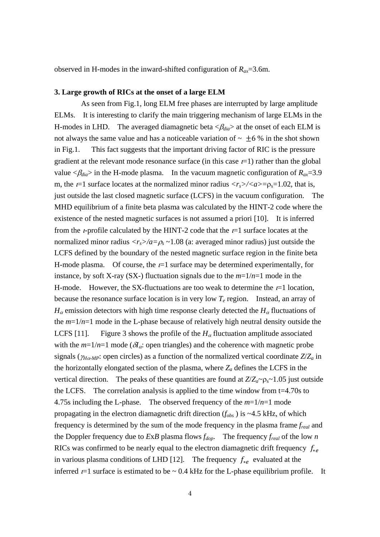observed in H-modes in the inward-shifted configuration of  $R_{ax} = 3.6$ m.

# **3. Large growth of RICs at the onset of a large ELM**

As seen from Fig.1, long ELM free phases are interrupted by large amplitude ELMs. It is interesting to clarify the main triggering mechanism of large ELMs in the H-modes in LHD. The averaged diamagnetic beta  $\langle \beta_{dia} \rangle$  at the onset of each ELM is not always the same value and has a noticeable variation of  $\sim \pm 6\%$  in the shot shown in Fig.1. This fact suggests that the important driving factor of RIC is the pressure gradient at the relevant mode resonance surface (in this case  $t=1$ ) rather than the global value  $\langle \beta_{dia} \rangle$  in the H-mode plasma. In the vacuum magnetic configuration of  $R_{ax} = 3.9$ m, the  $t=1$  surface locates at the normalized minor radius  $\langle r_s \rangle / \langle a \rangle = \rho_s = 1.02$ , that is, just outside the last closed magnetic surface (LCFS) in the vacuum configuration. The MHD equilibrium of a finite beta plasma was calculated by the HINT-2 code where the existence of the nested magnetic surfaces is not assumed a priori [10]. It is inferred from the *t*-profile calculated by the HINT-2 code that the  $t=1$  surface locates at the normalized minor radius  $\langle r_s \rangle / a = \rho_s \sim 1.08$  (a: averaged minor radius) just outside the LCFS defined by the boundary of the nested magnetic surface region in the finite beta H-mode plasma. Of course, the  $t=1$  surface may be determined experimentally, for instance, by soft X-ray (SX-) fluctuation signals due to the  $m=1/n=1$  mode in the H-mode. However, the SX-fluctuations are too weak to determine the  $t=1$  location, because the resonance surface location is in very low  $T_e$  region. Instead, an array of  $H_{\alpha}$  emission detectors with high time response clearly detected the  $H_{\alpha}$  fluctuations of the  $m=1/n=1$  mode in the L-phase because of relatively high neutral density outside the LCFS [11]. Figure 3 shows the profile of the  $H_{\alpha}$  fluctuation amplitude associated with the  $m=1/n=1$  mode ( $\delta I_a$ : open triangles) and the coherence with magnetic probe signals ( $\gamma_{H\alpha\text{-}MP}$ : open circles) as a function of the normalized vertical coordinate  $Z/Z_a$  in the horizontally elongated section of the plasma, where  $Z_a$  defines the LCFS in the vertical direction. The peaks of these quantities are found at  $Z/Z_a \sim \rho_s \sim 1.05$  just outside the LCFS. The correlation analysis is applied to the time window from t=4.70s to 4.75s including the L-phase. The observed frequency of the  $m=1/n=1$  mode propagating in the electron diamagnetic drift direction (*fobs* ) is ~4.5 kHz, of which frequency is determined by the sum of the mode frequency in the plasma frame *freal* and the Doppler frequency due to  $ExB$  plasma flows  $f_{dop}$ . The frequency  $f_{real}$  of the low *n* RICs was confirmed to be nearly equal to the electron diamagnetic drift frequency  $f_{*e}$ in various plasma conditions of LHD [12]. The frequency  $f_{*e}$  evaluated at the inferred  $t=1$  surface is estimated to be  $\sim 0.4$  kHz for the L-phase equilibrium profile. It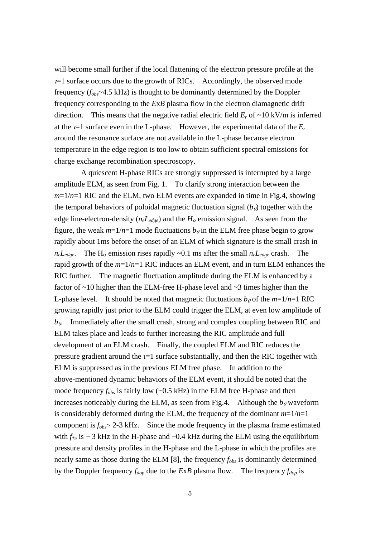will become small further if the local flattening of the electron pressure profile at the  $t=1$  surface occurs due to the growth of RICs. Accordingly, the observed mode frequency (*fobs*~4.5 kHz) is thought to be dominantly determined by the Doppler frequency corresponding to the *E*x*B* plasma flow in the electron diamagnetic drift direction. This means that the negative radial electric field  $E_r$  of  $\sim 10 \text{ kV/m}$  is inferred at the  $t=1$  surface even in the L-phase. However, the experimental data of the  $E_r$ around the resonance surface are not available in the L-phase because electron temperature in the edge region is too low to obtain sufficient spectral emissions for charge exchange recombination spectroscopy.

A quiescent H-phase RICs are strongly suppressed is interrupted by a large amplitude ELM, as seen from Fig. 1. To clarify strong interaction between the *m*=1/*n*=1 RIC and the ELM, two ELM events are expanded in time in Fig.4, showing the temporal behaviors of poloidal magnetic fluctuation signal  $(b<sub>\theta</sub>)$  together with the edge line-electron-density  $(n_eL_{edge})$  and the  $H_\alpha$  emission signal. As seen from the figure, the weak  $m=1/n=1$  mode fluctuations  $b_{\theta}$  in the ELM free phase begin to grow rapidly about 1ms before the onset of an ELM of which signature is the small crash in  $n_eL_{edge}$ . The H<sub>α</sub> emission rises rapidly ~0.1 ms after the small  $n_eL_{edge}$  crash. The rapid growth of the *m*=1/*n*=1 RIC induces an ELM event, and in turn ELM enhances the RIC further. The magnetic fluctuation amplitude during the ELM is enhanced by a factor of ~10 higher than the ELM-free H-phase level and ~3 times higher than the L-phase level. It should be noted that magnetic fluctuations  $b_{\theta}$  of the  $m=1/n=1$  RIC growing rapidly just prior to the ELM could trigger the ELM, at even low amplitude of  $b_{\theta}$ . Immediately after the small crash, strong and complex coupling between RIC and ELM takes place and leads to further increasing the RIC amplitude and full development of an ELM crash. Finally, the coupled ELM and RIC reduces the pressure gradient around the  $t=1$  surface substantially, and then the RIC together with ELM is suppressed as in the previous ELM free phase. In addition to the above-mentioned dynamic behaviors of the ELM event, it should be noted that the mode frequency *fobs* is fairly low (~0.5 kHz) in the ELM free H-phase and then increases noticeably during the ELM, as seen from Fig.4. Although the  $b_{\theta}$  waveform is considerably deformed during the ELM, the frequency of the dominant  $m=1/n=1$ component is  $f_{obs}$   $\sim$  2-3 kHz. Since the mode frequency in the plasma frame estimated with  $f_{\gamma_e}$  is  $\sim$  3 kHz in the H-phase and  $\sim$ 0.4 kHz during the ELM using the equilibrium pressure and density profiles in the H-phase and the L-phase in which the profiles are nearly same as those during the ELM [8], the frequency *fobs* is dominantly determined by the Doppler frequency  $f_{dop}$  due to the *ExB* plasma flow. The frequency  $f_{dop}$  is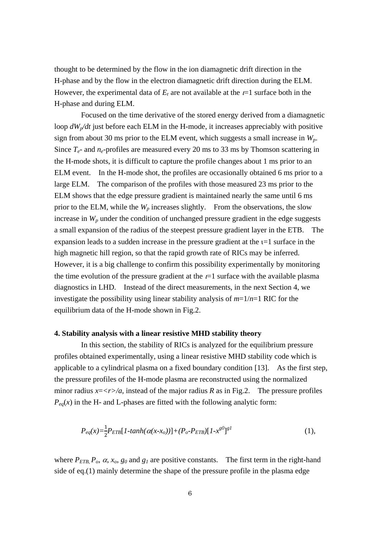thought to be determined by the flow in the ion diamagnetic drift direction in the H-phase and by the flow in the electron diamagnetic drift direction during the ELM. However, the experimental data of  $E_r$  are not available at the  $t=1$  surface both in the H-phase and during ELM.

Focused on the time derivative of the stored energy derived from a diamagnetic loop  $dW_p/dt$  just before each ELM in the H-mode, it increases appreciably with positive sign from about 30 ms prior to the ELM event, which suggests a small increase in *Wp*. Since  $T_e$ - and  $n_e$ -profiles are measured every 20 ms to 33 ms by Thomson scattering in the H-mode shots, it is difficult to capture the profile changes about 1 ms prior to an ELM event. In the H-mode shot, the profiles are occasionally obtained 6 ms prior to a large ELM. The comparison of the profiles with those measured 23 ms prior to the ELM shows that the edge pressure gradient is maintained nearly the same until 6 ms prior to the ELM, while the  $W_p$  increases slightly. From the observations, the slow increase in  $W_p$  under the condition of unchanged pressure gradient in the edge suggests a small expansion of the radius of the steepest pressure gradient layer in the ETB. The expansion leads to a sudden increase in the pressure gradient at the  $i=1$  surface in the high magnetic hill region, so that the rapid growth rate of RICs may be inferred. However, it is a big challenge to confirm this possibility experimentally by monitoring the time evolution of the pressure gradient at the  $t=1$  surface with the available plasma diagnostics in LHD. Instead of the direct measurements, in the next Section 4, we investigate the possibility using linear stability analysis of *m*=1/*n*=1 RIC for the equilibrium data of the H-mode shown in Fig.2.

### **4. Stability analysis with a linear resistive MHD stability theory**

In this section, the stability of RICs is analyzed for the equilibrium pressure profiles obtained experimentally, using a linear resistive MHD stability code which is applicable to a cylindrical plasma on a fixed boundary condition [13]. As the first step, the pressure profiles of the H-mode plasma are reconstructed using the normalized minor radius  $x = \langle r \rangle/a$ , instead of the major radius R as in Fig.2. The pressure profiles  $P_{eq}(x)$  in the H- and L-phases are fitted with the following analytic form:

$$
P_{eq}(x) = \frac{1}{2} P_{ETB} [1-tanh(\alpha(x - x_o))] + (P_o - P_{ETB}) [1 - x^{g0}]^{g1}
$$
(1),

where  $P_{ETB}$ ,  $P_o$ ,  $\alpha$ ,  $x_o$ ,  $g_o$  and  $g_l$  are positive constants. The first term in the right-hand side of eq.(1) mainly determine the shape of the pressure profile in the plasma edge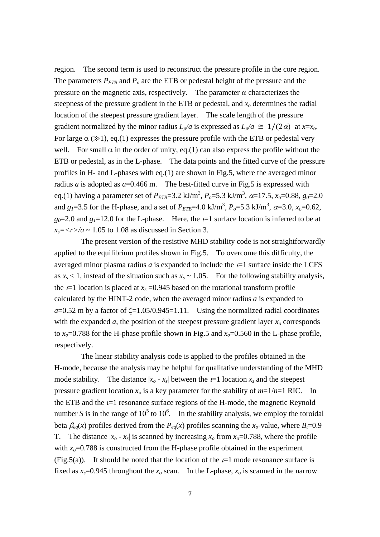region. The second term is used to reconstruct the pressure profile in the core region. The parameters  $P_{ETB}$  and  $P_o$  are the ETB or pedestal height of the pressure and the pressure on the magnetic axis, respectively. The parameter  $\alpha$  characterizes the steepness of the pressure gradient in the ETB or pedestal, and *xo* determines the radial location of the steepest pressure gradient layer. The scale length of the pressure gradient normalized by the minor radius  $L_p/a$  is expressed as  $L_p/a \cong 1/(2\alpha)$  at  $x=x_0$ . For large  $\alpha$  ( $\gg$ 1), eq.(1) expresses the pressure profile with the ETB or pedestal very well. For small  $\alpha$  in the order of unity, eq.(1) can also express the profile without the ETB or pedestal, as in the L-phase. The data points and the fitted curve of the pressure profiles in H- and L-phases with eq.(1) are shown in Fig.5, where the averaged minor radius *a* is adopted as  $a=0.466$  m. The best-fitted curve in Fig.5 is expressed with eq.(1) having a parameter set of  $P_{ETB}$ =3.2 kJ/m<sup>3</sup>,  $P_o$ =5.3 kJ/m<sup>3</sup>,  $\alpha$ =17.5,  $x_o$ =0.88,  $g_o$ =2.0 and  $g_1 = 3.5$  for the H-phase, and a set of  $P_{ETB} = 4.0 \text{ kJ/m}^3$ ,  $P_o = 5.3 \text{ kJ/m}^3$ ,  $\alpha = 3.0$ ,  $x_o = 0.62$ ,  $g_0$ =2.0 and  $g_1$ =12.0 for the L-phase. Here, the  $t=1$  surface location is inferred to be at  $x_s = \langle r \rangle / a \sim 1.05$  to 1.08 as discussed in Section 3.

The present version of the resistive MHD stability code is not straightforwardly applied to the equilibrium profiles shown in Fig.5. To overcome this difficulty, the averaged minor plasma radius  $a$  is expanded to include the  $t=1$  surface inside the LCFS as  $x_s < 1$ , instead of the situation such as  $x_s \sim 1.05$ . For the following stability analysis, the  $t=1$  location is placed at  $x_s = 0.945$  based on the rotational transform profile calculated by the HINT-2 code, when the averaged minor radius *a* is expanded to  $a=0.52$  m by a factor of  $\zeta=1.05/0.945=1.11$ . Using the normalized radial coordinates with the expanded  $a$ , the position of the steepest pressure gradient layer  $x_0$  corresponds to  $x_0$ =0.788 for the H-phase profile shown in Fig.5 and  $x_0$ =0.560 in the L-phase profile, respectively.

The linear stability analysis code is applied to the profiles obtained in the H-mode, because the analysis may be helpful for qualitative understanding of the MHD mode stability. The distance  $|x_0 - x_s|$  between the  $t=1$  location  $x_s$  and the steepest pressure gradient location  $x_0$  is a key parameter for the stability of  $m=1/n=1$  RIC. In the ETB and the  $i=1$  resonance surface regions of the H-mode, the magnetic Reynold number *S* is in the range of  $10^5$  to  $10^6$ . In the stability analysis, we employ the toroidal beta  $\beta_{eq}(x)$  profiles derived from the  $P_{eq}(x)$  profiles scanning the  $x_o$ -value, where  $B_f=0.9$ T. The distance  $|x_0 - x_s|$  is scanned by increasing  $x_0$  from  $x_0 = 0.788$ , where the profile with  $x_0$ =0.788 is constructed from the H-phase profile obtained in the experiment (Fig.5(a)). It should be noted that the location of the  $t=1$  mode resonance surface is fixed as  $x_s$ =0.945 throughout the  $x_o$  scan. In the L-phase,  $x_o$  is scanned in the narrow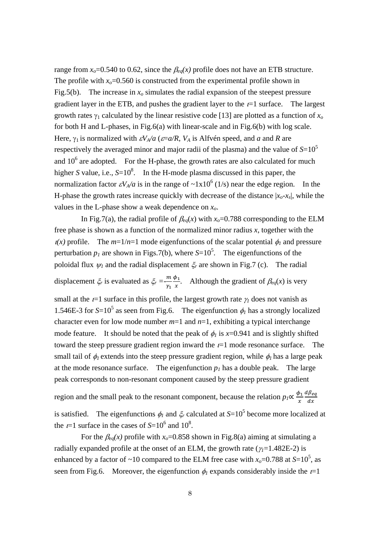range from  $x_0$ =0.540 to 0.62, since the  $\beta_{eq}(x)$  profile does not have an ETB structure. The profile with  $x_0$ =0.560 is constructed from the experimental profile shown in Fig.5(b). The increase in  $x_0$  simulates the radial expansion of the steepest pressure gradient layer in the ETB, and pushes the gradient layer to the  $t=1$  surface. The largest growth rates  $\gamma_1$  calculated by the linear resistive code [13] are plotted as a function of  $x_0$ for both H and L-phases, in Fig.6(a) with linear-scale and in Fig.6(b) with log scale. Here,  $\gamma_1$  is normalized with  $\epsilon V_A/a$  ( $\epsilon = a/R$ ,  $V_A$  is Alfvén speed, and *a* and *R* are respectively the averaged minor and major radii of the plasma) and the value of  $S=10^5$ and  $10<sup>6</sup>$  are adopted. For the H-phase, the growth rates are also calculated for much higher *S* value, i.e.,  $S=10^8$ . In the H-mode plasma discussed in this paper, the normalization factor  $\varepsilon V_A/a$  is in the range of  $\sim 1x10^6$  (1/s) near the edge region. In the H-phase the growth rates increase quickly with decrease of the distance  $|x_0-x_s|$ , while the values in the L-phase show a weak dependence on *xo*.

In Fig.7(a), the radial profile of  $\beta_{eq}(x)$  with  $x_o$ =0.788 corresponding to the ELM free phase is shown as a function of the normalized minor radius *x*, together with the  $\chi(x)$  profile. The  $m=1/n=1$  mode eigenfunctions of the scalar potential  $\phi_1$  and pressure perturbation  $p_1$  are shown in Figs.7(b), where  $S=10^5$ . The eigenfunctions of the poloidal flux  $\psi_l$  and the radial displacement  $\xi_r$  are shown in Fig.7 (c). The radial displacement  $\zeta_r$  is evaluated as  $\zeta_r = -\frac{m}{\gamma_1}$  $\frac{\phi_1}{x}$ . Although the gradient of  $\beta_{eq}(x)$  is very

small at the  $t=1$  surface in this profile, the largest growth rate  $\gamma_1$  does not vanish as 1.546E-3 for  $S=10^5$  as seen from Fig.6. The eigenfunction  $\phi_l$  has a strongly localized character even for low mode number  $m=1$  and  $n=1$ , exhibiting a typical interchange mode feature. It should be noted that the peak of  $\phi_l$  is  $x=0.941$  and is slightly shifted toward the steep pressure gradient region inward the  $t=1$  mode resonance surface. The small tail of  $\phi_l$  extends into the steep pressure gradient region, while  $\phi_l$  has a large peak at the mode resonance surface. The eigenfunction  $p_l$  has a double peak. The large peak corresponds to non-resonant component caused by the steep pressure gradient

region and the small peak to the resonant component, because the relation  $p_1 \propto \frac{\phi_1}{x}$  $d\beta_{eq}$  $dx$ 

is satisfied. The eigenfunctions  $\phi_l$  and  $\xi_r$  calculated at  $S=10^5$  become more localized at the  $t=1$  surface in the cases of  $S=10^6$  and  $10^8$ .

For the  $\beta_{eq}(x)$  profile with  $x_0$ =0.858 shown in Fig.8(a) aiming at simulating a radially expanded profile at the onset of an ELM, the growth rate ( $\gamma$ =1.482E-2) is enhanced by a factor of ~10 compared to the ELM free case with  $x_0$ =0.788 at *S*=10<sup>5</sup>, as seen from Fig.6. Moreover, the eigenfunction  $\phi_l$  expands considerably inside the  $t=1$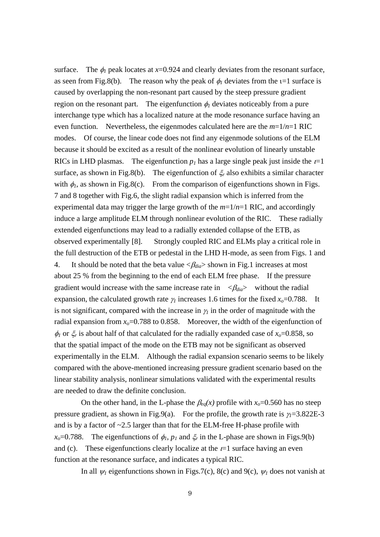surface. The  $\phi_l$  peak locates at  $x=0.924$  and clearly deviates from the resonant surface, as seen from Fig.8(b). The reason why the peak of  $\phi_l$  deviates from the  $l=1$  surface is caused by overlapping the non-resonant part caused by the steep pressure gradient region on the resonant part. The eigenfunction  $\phi_1$  deviates noticeably from a pure interchange type which has a localized nature at the mode resonance surface having an even function. Nevertheless, the eigenmodes calculated here are the *m*=1/*n*=1 RIC modes. Of course, the linear code does not find any eigenmode solutions of the ELM because it should be excited as a result of the nonlinear evolution of linearly unstable RICs in LHD plasmas. The eigenfunction  $p_1$  has a large single peak just inside the  $t=1$ surface, as shown in Fig.8(b). The eigenfunction of  $\zeta_r$  also exhibits a similar character with  $\phi_1$ , as shown in Fig.8(c). From the comparison of eigenfunctions shown in Figs. 7 and 8 together with Fig.6, the slight radial expansion which is inferred from the experimental data may trigger the large growth of the *m*=1/*n*=1 RIC, and accordingly induce a large amplitude ELM through nonlinear evolution of the RIC. These radially extended eigenfunctions may lead to a radially extended collapse of the ETB, as observed experimentally [8]. Strongly coupled RIC and ELMs play a critical role in the full destruction of the ETB or pedestal in the LHD H-mode, as seen from Figs. 1 and 4. It should be noted that the beta value  $\langle \beta_{dia} \rangle$  shown in Fig.1 increases at most about 25 % from the beginning to the end of each ELM free phase. If the pressure gradient would increase with the same increase rate in  $\langle \beta_{dia} \rangle$  without the radial expansion, the calculated growth rate  $\gamma_1$  increases 1.6 times for the fixed  $x_0$ =0.788. It is not significant, compared with the increase in  $\gamma$  in the order of magnitude with the radial expansion from  $x_0$ =0.788 to 0.858. Moreover, the width of the eigenfunction of  $\phi_1$  or  $\xi_r$  is about half of that calculated for the radially expanded case of  $x_0$ =0.858, so that the spatial impact of the mode on the ETB may not be significant as observed experimentally in the ELM. Although the radial expansion scenario seems to be likely compared with the above-mentioned increasing pressure gradient scenario based on the linear stability analysis, nonlinear simulations validated with the experimental results are needed to draw the definite conclusion.

On the other hand, in the L-phase the  $\beta_{eq}(x)$  profile with  $x_o=0.560$  has no steep pressure gradient, as shown in Fig.9(a). For the profile, the growth rate is  $\gamma_1 = 3.822E - 3$ and is by a factor of  $\sim$ 2.5 larger than that for the ELM-free H-phase profile with  $x_0$ =0.788. The eigenfunctions of  $\phi_1$ ,  $p_1$  and  $\xi_r$  in the L-phase are shown in Figs.9(b) and (c). These eigenfunctions clearly localize at the  $t=1$  surface having an even function at the resonance surface, and indicates a typical RIC.

In all  $\psi_l$  eigenfunctions shown in Figs.7(c), 8(c) and 9(c),  $\psi_l$  does not vanish at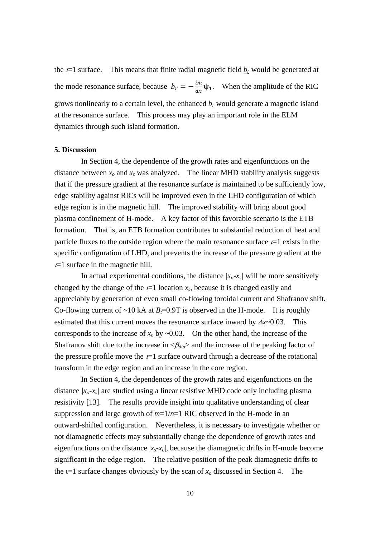the  $t=1$  surface. This means that finite radial magnetic field  $b_r$  would be generated at the mode resonance surface, because  $b_r = -\frac{im}{ax}\psi_1$ . When the amplitude of the RIC grows nonlinearly to a certain level, the enhanced  $b_r$  would generate a magnetic island at the resonance surface. This process may play an important role in the ELM dynamics through such island formation.

## **5. Discussion**

In Section 4, the dependence of the growth rates and eigenfunctions on the distance between  $x_0$  and  $x_s$  was analyzed. The linear MHD stability analysis suggests that if the pressure gradient at the resonance surface is maintained to be sufficiently low, edge stability against RICs will be improved even in the LHD configuration of which edge region is in the magnetic hill. The improved stability will bring about good plasma confinement of H-mode. A key factor of this favorable scenario is the ETB formation. That is, an ETB formation contributes to substantial reduction of heat and particle fluxes to the outside region where the main resonance surface  $t=1$  exists in the specific configuration of LHD, and prevents the increase of the pressure gradient at the  $t=1$  surface in the magnetic hill.

In actual experimental conditions, the distance  $|x_0-x_0|$  will be more sensitively changed by the change of the  $t=1$  location  $x_s$ , because it is changed easily and appreciably by generation of even small co-flowing toroidal current and Shafranov shift. Co-flowing current of  $\sim 10$  kA at  $B_t = 0.9$ T is observed in the H-mode. It is roughly estimated that this current moves the resonance surface inward by  $\Delta x \sim 0.03$ . This corresponds to the increase of  $x_0$  by  $\sim$  0.03. On the other hand, the increase of the Shafranov shift due to the increase in  $\langle \beta_{dia} \rangle$  and the increase of the peaking factor of the pressure profile move the  $t=1$  surface outward through a decrease of the rotational transform in the edge region and an increase in the core region.

In Section 4, the dependences of the growth rates and eigenfunctions on the distance *|xo-xs|* are studied using a linear resistive MHD code only including plasma resistivity [13]. The results provide insight into qualitative understanding of clear suppression and large growth of  $m=1/n=1$  RIC observed in the H-mode in an outward-shifted configuration. Nevertheless, it is necessary to investigate whether or not diamagnetic effects may substantially change the dependence of growth rates and eigenfunctions on the distance  $|x_s-x_o|$ , because the diamagnetic drifts in H-mode become significant in the edge region. The relative position of the peak diamagnetic drifts to the  $i=1$  surface changes obviously by the scan of  $x<sub>o</sub>$  discussed in Section 4. The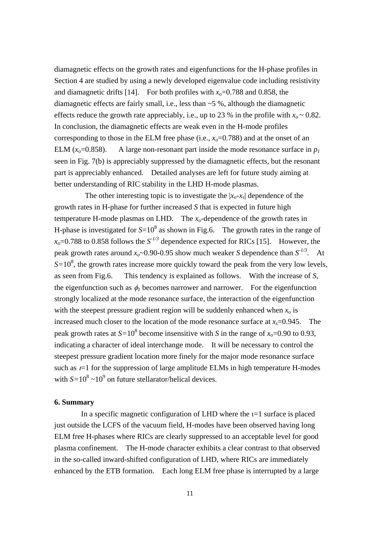diamagnetic effects on the growth rates and eigenfunctions for the H-phase profiles in Section 4 are studied by using a newly developed eigenvalue code including resistivity and diamagnetic drifts [14]. For both profiles with  $x_0$ =0.788 and 0.858, the diamagnetic effects are fairly small, i.e., less than  $\sim$  5 %, although the diamagnetic effects reduce the growth rate appreciably, i.e., up to 23 % in the profile with  $x_0 \sim 0.82$ . In conclusion, the diamagnetic effects are weak even in the H-mode profiles corresponding to those in the ELM free phase (i.e.,  $x_0$ =0.788) and at the onset of an ELM  $(x_0=0.858)$ . A large non-resonant part inside the mode resonance surface in  $p_1$ seen in Fig. 7(b) is appreciably suppressed by the diamagnetic effects, but the resonant part is appreciably enhanced. Detailed analyses are left for future study aiming at better understanding of RIC stability in the LHD H-mode plasmas.

The other interesting topic is to investigate the  $|x_0-x_s|$  dependence of the growth rates in H-phase for further increased *S* that is expected in future high temperature H-mode plasmas on LHD. The  $x_0$ -dependence of the growth rates in H-phase is investigated for  $S=10^8$  as shown in Fig.6. The growth rates in the range of  $x_0$ =0.788 to 0.858 follows the  $S<sup>1/3</sup>$  dependence expected for RICs [15]. However, the peak growth rates around  $x_0$ ~0.90-0.95 show much weaker *S* dependence than  $S^{-1/3}$ . At  $S=10^8$ , the growth rates increase more quickly toward the peak from the very low levels, as seen from Fig.6. This tendency is explained as follows. With the increase of *S*, the eigenfunction such as  $\phi_l$  becomes narrower and narrower. For the eigenfunction strongly localized at the mode resonance surface, the interaction of the eigenfunction with the steepest pressure gradient region will be suddenly enhanced when  $x_0$  is increased much closer to the location of the mode resonance surface at  $x_s$ =0.945. The peak growth rates at  $S=10^8$  become insensitive with *S* in the range of  $x_0=0.90$  to 0.93, indicating a character of ideal interchange mode. It will be necessary to control the steepest pressure gradient location more finely for the major mode resonance surface such as  $t=1$  for the suppression of large amplitude ELMs in high temperature H-modes with  $S=10^8 \sim 10^9$  on future stellarator/helical devices.

#### **6. Summary**

In a specific magnetic configuration of LHD where the  $i=1$  surface is placed just outside the LCFS of the vacuum field, H-modes have been observed having long ELM free H-phases where RICs are clearly suppressed to an acceptable level for good plasma confinement. The H-mode character exhibits a clear contrast to that observed in the so-called inward-shifted configuration of LHD, where RICs are immediately enhanced by the ETB formation. Each long ELM free phase is interrupted by a large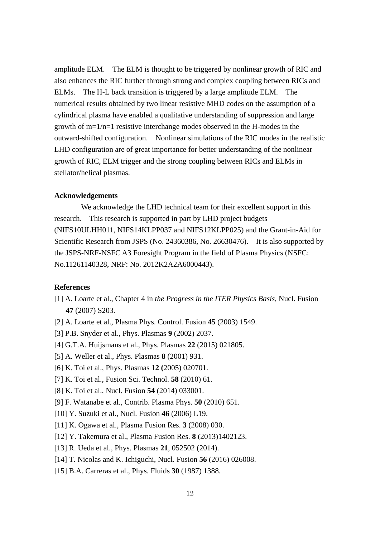amplitude ELM. The ELM is thought to be triggered by nonlinear growth of RIC and also enhances the RIC further through strong and complex coupling between RICs and ELMs. The H-L back transition is triggered by a large amplitude ELM. The numerical results obtained by two linear resistive MHD codes on the assumption of a cylindrical plasma have enabled a qualitative understanding of suppression and large growth of  $m=1/n=1$  resistive interchange modes observed in the H-modes in the outward-shifted configuration. Nonlinear simulations of the RIC modes in the realistic LHD configuration are of great importance for better understanding of the nonlinear growth of RIC, ELM trigger and the strong coupling between RICs and ELMs in stellator/helical plasmas.

# **Acknowledgements**

We acknowledge the LHD technical team for their excellent support in this research. This research is supported in part by LHD project budgets (NIFS10ULHH011, NIFS14KLPP037 and NIFS12KLPP025) and the Grant-in-Aid for Scientific Research from JSPS (No. 24360386, No. 26630476). It is also supported by the JSPS-NRF-NSFC A3 Foresight Program in the field of Plasma Physics (NSFC: No.11261140328, NRF: No. 2012K2A2A6000443).

## **References**

- [1] A. Loarte et al., Chapter 4 in *the Progress in the ITER Physics Basis*, Nucl. Fusion **47** (2007) S203.
- [2] A. Loarte et al., Plasma Phys. Control. Fusion **45** (2003) 1549.
- [3] P.B. Snyder et al., Phys. Plasmas **9** (2002) 2037.
- [4] G.T.A. Huijsmans et al., Phys. Plasmas **22** (2015) 021805.
- [5] A. Weller et al., Phys. Plasmas **8** (2001) 931.
- [6] K. Toi et al., Phys. Plasmas **12 (**2005) 020701.
- [7] K. Toi et al., Fusion Sci. Technol. **58** (2010) 61.
- [8] K. Toi et al., Nucl. Fusion **54** (2014) 033001.
- [9] F. Watanabe et al., Contrib. Plasma Phys. **50** (2010) 651.
- [10] Y. Suzuki et al., Nucl. Fusion **46** (2006) L19.
- [11] K. Ogawa et al., Plasma Fusion Res. **3** (2008) 030.
- [12] Y. Takemura et al., Plasma Fusion Res. **8** (2013)1402123.
- [13] R. Ueda et al., Phys. Plasmas **21**, 052502 (2014).
- [14] T. Nicolas and K. Ichiguchi, Nucl. Fusion **56** (2016) 026008.
- [15] B.A. Carreras et al., Phys. Fluids **30** (1987) 1388.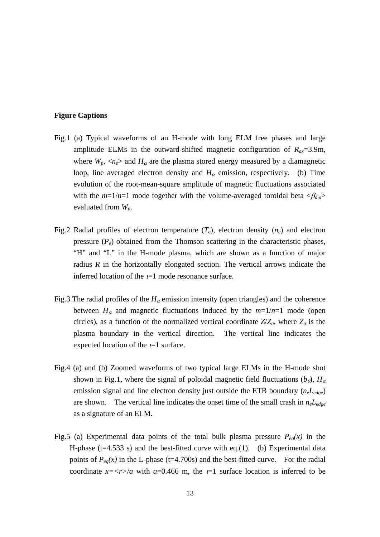# **Figure Captions**

- Fig.1 (a) Typical waveforms of an H-mode with long ELM free phases and large amplitude ELMs in the outward-shifted magnetic configuration of  $R_{ax} = 3.9$ m, where  $W_p$ ,  $\langle n_e \rangle$  and  $H_\alpha$  are the plasma stored energy measured by a diamagnetic loop, line averaged electron density and  $H_{\alpha}$  emission, respectively. (b) Time evolution of the root-mean-square amplitude of magnetic fluctuations associated with the  $m=1/n=1$  mode together with the volume-averaged toroidal beta  $\langle \beta_{dia} \rangle$ evaluated from *Wp*.
- Fig.2 Radial profiles of electron temperature  $(T_e)$ , electron density  $(n_e)$  and electron pressure  $(P_e)$  obtained from the Thomson scattering in the characteristic phases, "H" and "L" in the H-mode plasma, which are shown as a function of major radius *R* in the horizontally elongated section. The vertical arrows indicate the inferred location of the  $t=1$  mode resonance surface.
- Fig.3 The radial profiles of the  $H_{\alpha}$  emission intensity (open triangles) and the coherence between  $H_{\alpha}$  and magnetic fluctuations induced by the  $m=1/n=1$  mode (open circles), as a function of the normalized vertical coordinate  $Z/Z_a$ , where  $Z_a$  is the plasma boundary in the vertical direction. The vertical line indicates the expected location of the  $t=1$  surface.
- Fig.4 (a) and (b) Zoomed waveforms of two typical large ELMs in the H-mode shot shown in Fig.1, where the signal of poloidal magnetic field fluctuations  $(b_{\theta})$ ,  $H_{\alpha}$ emission signal and line electron density just outside the ETB boundary (*neLedge*) are shown. The vertical line indicates the onset time of the small crash in *neLedge* as a signature of an ELM.
- Fig.5 (a) Experimental data points of the total bulk plasma pressure  $P_{eq}(x)$  in the H-phase ( $t=4.533$  s) and the best-fitted curve with eq.(1). (b) Experimental data points of  $P_{eq}(x)$  in the L-phase (t=4.700s) and the best-fitted curve. For the radial coordinate  $x = \langle r \rangle/a$  with  $a = 0.466$  m, the  $t = 1$  surface location is inferred to be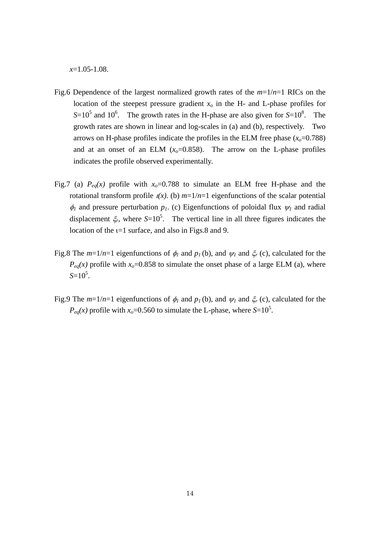*x*=1.05-1.08.

- Fig.6 Dependence of the largest normalized growth rates of the *m*=1/*n*=1 RICs on the location of the steepest pressure gradient  $x<sub>o</sub>$  in the H- and L-phase profiles for  $S=10^5$  and 10<sup>6</sup>. The growth rates in the H-phase are also given for  $S=10^8$ . The growth rates are shown in linear and log-scales in (a) and (b), respectively. Two arrows on H-phase profiles indicate the profiles in the ELM free phase  $(x_0=0.788)$ and at an onset of an ELM  $(x_0=0.858)$ . The arrow on the L-phase profiles indicates the profile observed experimentally.
- Fig.7 (a)  $P_{eq}(x)$  profile with  $x_0=0.788$  to simulate an ELM free H-phase and the rotational transform profile  $u(x)$ . (b)  $m=1/n=1$  eigenfunctions of the scalar potential  $\phi_1$  and pressure perturbation  $p_1$ . (c) Eigenfunctions of poloidal flux  $\psi_1$  and radial displacement  $\zeta_r$ , where  $S=10^5$ . The vertical line in all three figures indicates the location of the  $t=1$  surface, and also in Figs.8 and 9.
- Fig.8 The  $m=1/n=1$  eigenfunctions of  $\phi_1$  and  $p_1$  (b), and  $\psi_1$  and  $\xi_r$  (c), calculated for the  $P_{eq}(x)$  profile with  $x_0$ =0.858 to simulate the onset phase of a large ELM (a), where  $S=10^5$ .
- Fig.9 The  $m=1/n=1$  eigenfunctions of  $\phi_1$  and  $p_1$  (b), and  $\psi_1$  and  $\xi_r$  (c), calculated for the  $P_{eq}(x)$  profile with  $x_0$ =0.560 to simulate the L-phase, where  $S=10^5$ .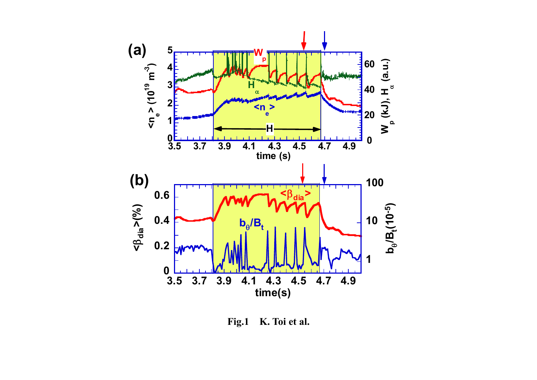

**Fig.1 K. Toi et al.**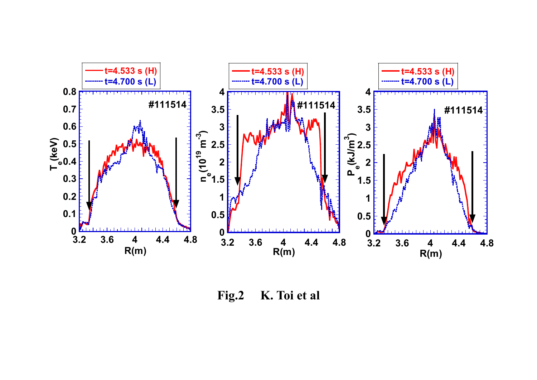

**Fig.2 K. Toi et al**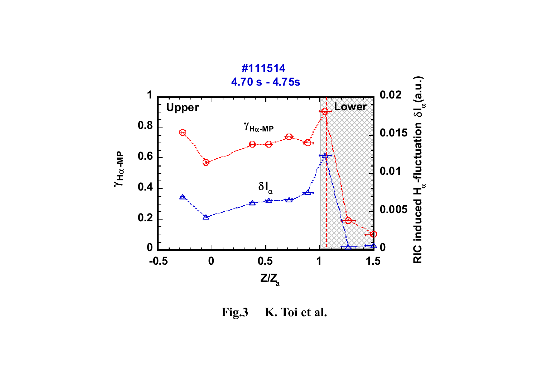

**Fig.3 K. Toi et al.**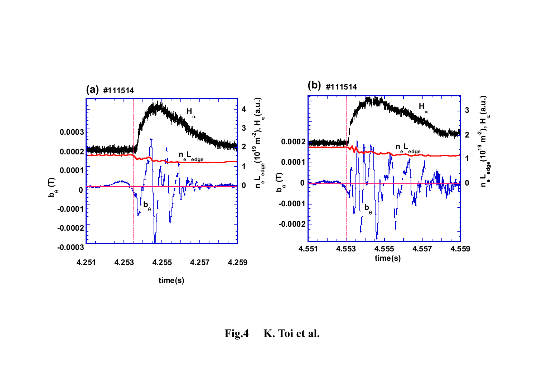

**Fig.4 K. Toi et al.**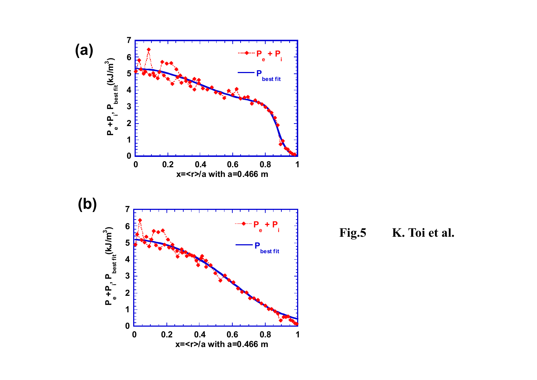

**Fig.5 K. Toi et al.**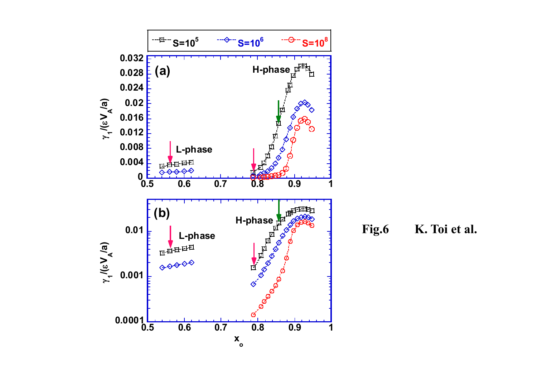

**Fig.6 K. Toi et al.**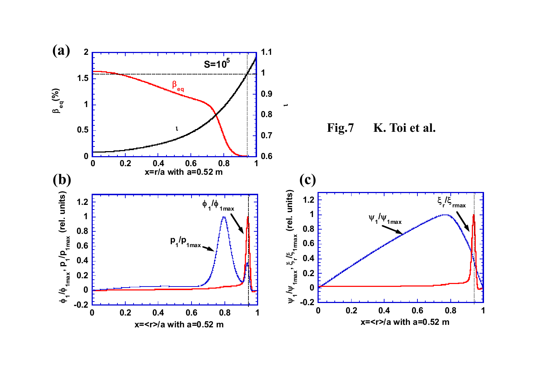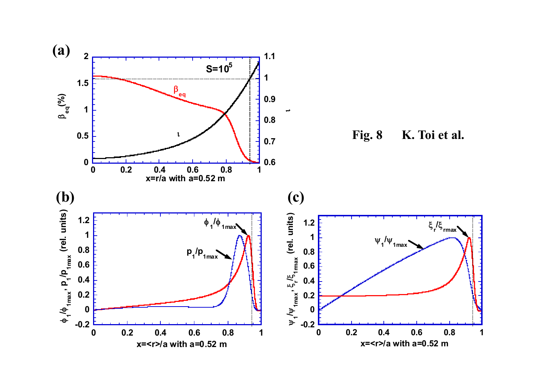